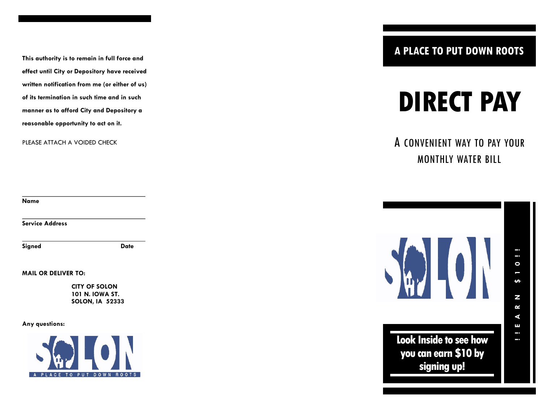**This authority is to remain in full force and effect until City or Depository have received written notification from me (or either of us) of its termination in such time and in such manner as to afford City and Depository a reasonable opportunity to act on it.**

PLEASE ATTACH A VOIDED CHECK

**Name**

**Service Address**

**Signed Date**

**MAIL OR DELIVER TO:**

**CITY OF SOLON 101 N. IOWA ST. SOLON, IA 52333**

**Any questions:**



**A PLACE TO PUT DOWN ROOTS**

# **DIRECT PAY**

A CONVENIENT WAY TO PAY YOUR MONTHLY WATER BILL